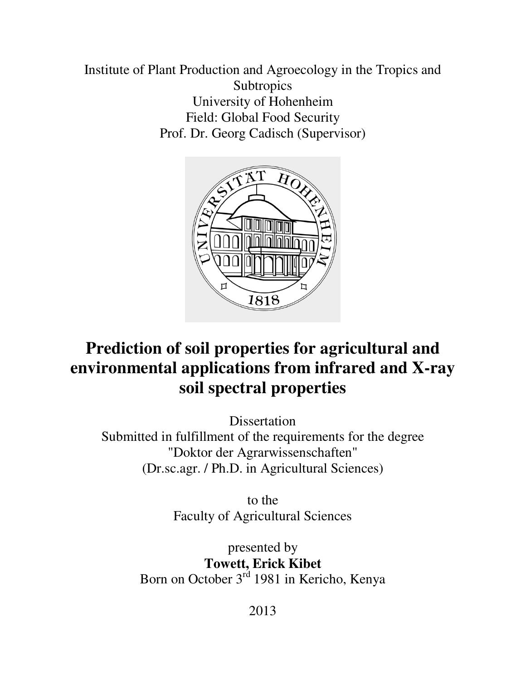Institute of Plant Production and Agroecology in the Tropics and **Subtropics** University of Hohenheim Field: Global Food Security Prof. Dr. Georg Cadisch (Supervisor)



# **Prediction of soil properties for agricultural and environmental applications from infrared and X-ray soil spectral properties**

**Dissertation** 

Submitted in fulfillment of the requirements for the degree "Doktor der Agrarwissenschaften" (Dr.sc.agr. / Ph.D. in Agricultural Sciences)

> to the Faculty of Agricultural Sciences

presented by **Towett, Erick Kibet**  Born on October 3<sup>rd</sup> 1981 in Kericho, Kenya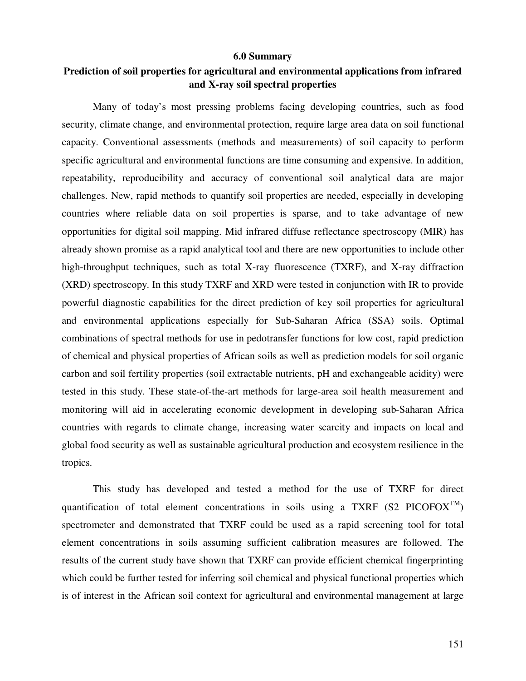### **6.0 Summary**

## **Prediction of soil properties for agricultural and environmental applications from infrared and X-ray soil spectral properties**

Many of today's most pressing problems facing developing countries, such as food security, climate change, and environmental protection, require large area data on soil functional capacity. Conventional assessments (methods and measurements) of soil capacity to perform specific agricultural and environmental functions are time consuming and expensive. In addition, repeatability, reproducibility and accuracy of conventional soil analytical data are major challenges. New, rapid methods to quantify soil properties are needed, especially in developing countries where reliable data on soil properties is sparse, and to take advantage of new opportunities for digital soil mapping. Mid infrared diffuse reflectance spectroscopy (MIR) has already shown promise as a rapid analytical tool and there are new opportunities to include other high-throughput techniques, such as total X-ray fluorescence (TXRF), and X-ray diffraction (XRD) spectroscopy. In this study TXRF and XRD were tested in conjunction with IR to provide powerful diagnostic capabilities for the direct prediction of key soil properties for agricultural and environmental applications especially for Sub-Saharan Africa (SSA) soils. Optimal combinations of spectral methods for use in pedotransfer functions for low cost, rapid prediction of chemical and physical properties of African soils as well as prediction models for soil organic carbon and soil fertility properties (soil extractable nutrients, pH and exchangeable acidity) were tested in this study. These state-of-the-art methods for large-area soil health measurement and monitoring will aid in accelerating economic development in developing sub-Saharan Africa countries with regards to climate change, increasing water scarcity and impacts on local and global food security as well as sustainable agricultural production and ecosystem resilience in the tropics.

This study has developed and tested a method for the use of TXRF for direct quantification of total element concentrations in soils using a TXRF (S2 PICOFOX<sup>TM</sup>) spectrometer and demonstrated that TXRF could be used as a rapid screening tool for total element concentrations in soils assuming sufficient calibration measures are followed. The results of the current study have shown that TXRF can provide efficient chemical fingerprinting which could be further tested for inferring soil chemical and physical functional properties which is of interest in the African soil context for agricultural and environmental management at large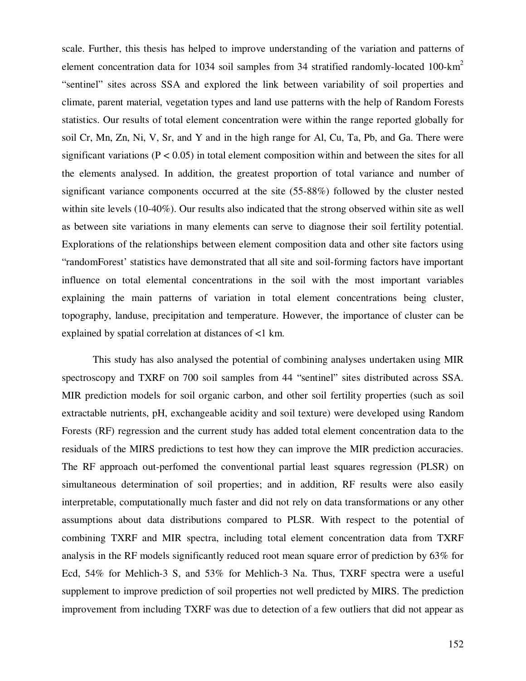scale. Further, this thesis has helped to improve understanding of the variation and patterns of element concentration data for 1034 soil samples from 34 stratified randomly-located 100-km<sup>2</sup> "sentinel" sites across SSA and explored the link between variability of soil properties and climate, parent material, vegetation types and land use patterns with the help of Random Forests statistics. Our results of total element concentration were within the range reported globally for soil Cr, Mn, Zn, Ni, V, Sr, and Y and in the high range for Al, Cu, Ta, Pb, and Ga. There were significant variations ( $P < 0.05$ ) in total element composition within and between the sites for all the elements analysed. In addition, the greatest proportion of total variance and number of significant variance components occurred at the site (55-88%) followed by the cluster nested within site levels (10-40%). Our results also indicated that the strong observed within site as well as between site variations in many elements can serve to diagnose their soil fertility potential. Explorations of the relationships between element composition data and other site factors using "randomForest' statistics have demonstrated that all site and soil-forming factors have important influence on total elemental concentrations in the soil with the most important variables explaining the main patterns of variation in total element concentrations being cluster, topography, landuse, precipitation and temperature. However, the importance of cluster can be explained by spatial correlation at distances of <1 km.

This study has also analysed the potential of combining analyses undertaken using MIR spectroscopy and TXRF on 700 soil samples from 44 "sentinel" sites distributed across SSA. MIR prediction models for soil organic carbon, and other soil fertility properties (such as soil extractable nutrients, pH, exchangeable acidity and soil texture) were developed using Random Forests (RF) regression and the current study has added total element concentration data to the residuals of the MIRS predictions to test how they can improve the MIR prediction accuracies. The RF approach out-perfomed the conventional partial least squares regression (PLSR) on simultaneous determination of soil properties; and in addition, RF results were also easily interpretable, computationally much faster and did not rely on data transformations or any other assumptions about data distributions compared to PLSR. With respect to the potential of combining TXRF and MIR spectra, including total element concentration data from TXRF analysis in the RF models significantly reduced root mean square error of prediction by 63% for Ecd, 54% for Mehlich-3 S, and 53% for Mehlich-3 Na. Thus, TXRF spectra were a useful supplement to improve prediction of soil properties not well predicted by MIRS. The prediction improvement from including TXRF was due to detection of a few outliers that did not appear as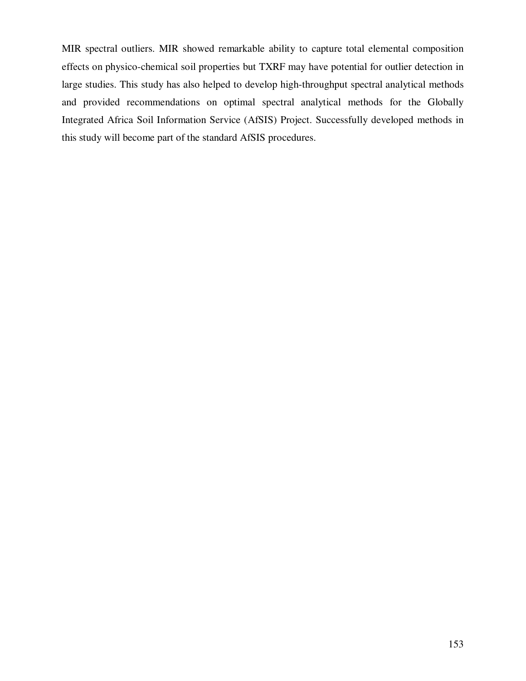MIR spectral outliers. MIR showed remarkable ability to capture total elemental composition effects on physico-chemical soil properties but TXRF may have potential for outlier detection in large studies. This study has also helped to develop high-throughput spectral analytical methods and provided recommendations on optimal spectral analytical methods for the Globally Integrated Africa Soil Information Service (AfSIS) Project. Successfully developed methods in this study will become part of the standard AfSIS procedures.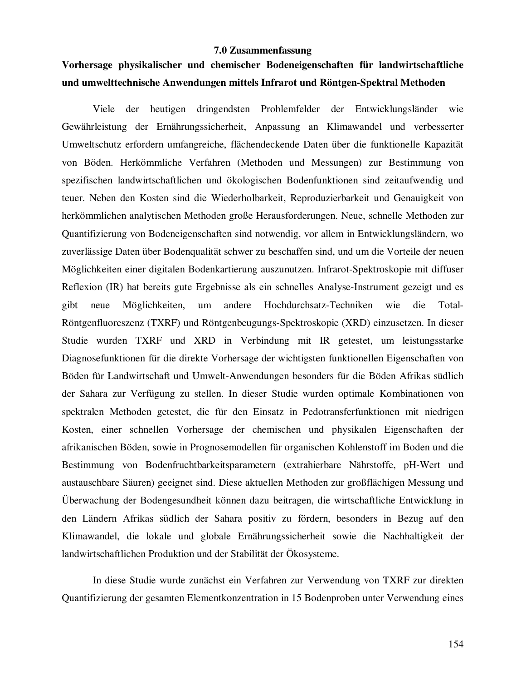#### **7.0 Zusammenfassung**

# **Vorhersage physikalischer und chemischer Bodeneigenschaften für landwirtschaftliche und umwelttechnische Anwendungen mittels Infrarot und Röntgen-Spektral Methoden**

Viele der heutigen dringendsten Problemfelder der Entwicklungsländer wie Gewährleistung der Ernährungssicherheit, Anpassung an Klimawandel und verbesserter Umweltschutz erfordern umfangreiche, flächendeckende Daten über die funktionelle Kapazität von Böden. Herkömmliche Verfahren (Methoden und Messungen) zur Bestimmung von spezifischen landwirtschaftlichen und ökologischen Bodenfunktionen sind zeitaufwendig und teuer. Neben den Kosten sind die Wiederholbarkeit, Reproduzierbarkeit und Genauigkeit von herkömmlichen analytischen Methoden große Herausforderungen. Neue, schnelle Methoden zur Quantifizierung von Bodeneigenschaften sind notwendig, vor allem in Entwicklungsländern, wo zuverlässige Daten über Bodenqualität schwer zu beschaffen sind, und um die Vorteile der neuen Möglichkeiten einer digitalen Bodenkartierung auszunutzen. Infrarot-Spektroskopie mit diffuser Reflexion (IR) hat bereits gute Ergebnisse als ein schnelles Analyse-Instrument gezeigt und es gibt neue Möglichkeiten, um andere Hochdurchsatz-Techniken wie die Total-Röntgenfluoreszenz (TXRF) und Röntgenbeugungs-Spektroskopie (XRD) einzusetzen. In dieser Studie wurden TXRF und XRD in Verbindung mit IR getestet, um leistungsstarke Diagnosefunktionen für die direkte Vorhersage der wichtigsten funktionellen Eigenschaften von Böden für Landwirtschaft und Umwelt-Anwendungen besonders für die Böden Afrikas südlich der Sahara zur Verfügung zu stellen. In dieser Studie wurden optimale Kombinationen von spektralen Methoden getestet, die für den Einsatz in Pedotransferfunktionen mit niedrigen Kosten, einer schnellen Vorhersage der chemischen und physikalen Eigenschaften der afrikanischen Böden, sowie in Prognosemodellen für organischen Kohlenstoff im Boden und die Bestimmung von Bodenfruchtbarkeitsparametern (extrahierbare Nährstoffe, pH-Wert und austauschbare Säuren) geeignet sind. Diese aktuellen Methoden zur großflächigen Messung und Überwachung der Bodengesundheit können dazu beitragen, die wirtschaftliche Entwicklung in den Ländern Afrikas südlich der Sahara positiv zu fördern, besonders in Bezug auf den Klimawandel, die lokale und globale Ernährungssicherheit sowie die Nachhaltigkeit der landwirtschaftlichen Produktion und der Stabilität der Ökosysteme.

In diese Studie wurde zunächst ein Verfahren zur Verwendung von TXRF zur direkten Quantifizierung der gesamten Elementkonzentration in 15 Bodenproben unter Verwendung eines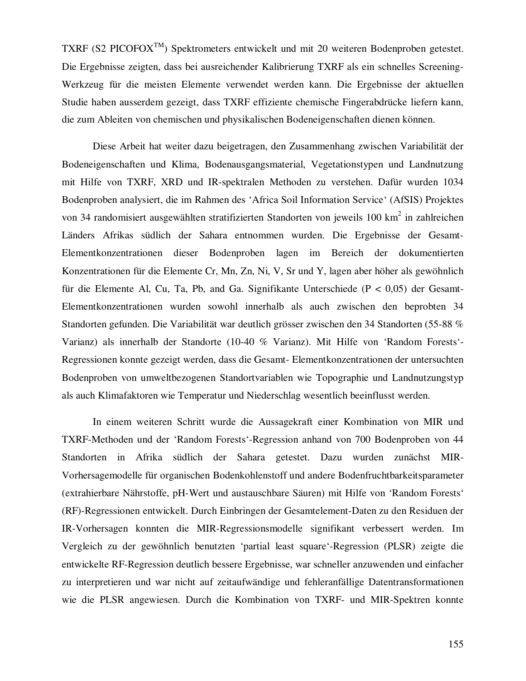TXRF (S2 PICOFOXTM) Spektrometers entwickelt und mit 20 weiteren Bodenproben getestet. Die Ergebnisse zeigten, dass bei ausreichender Kalibrierung TXRF als ein schnelles Screening-Werkzeug für die meisten Elemente verwendet werden kann. Die Ergebnisse der aktuellen Studie haben ausserdem gezeigt, dass TXRF effiziente chemische Fingerabdrücke liefern kann, die zum Ableiten von chemischen und physikalischen Bodeneigenschaften dienen können.

Diese Arbeit hat weiter dazu beigetragen, den Zusammenhang zwischen Variabilität der Bodeneigenschaften und Klima, Bodenausgangsmaterial, Vegetationstypen und Landnutzung mit Hilfe von TXRF, XRD und IR-spektralen Methoden zu verstehen. Dafür wurden 1034 Bodenproben analysiert, die im Rahmen des 'Africa Soil Information Service' (AfSIS) Projektes von 34 randomisiert ausgewählten stratifizierten Standorten von jeweils 100 km<sup>2</sup> in zahlreichen Länders Afrikas südlich der Sahara entnommen wurden. Die Ergebnisse der Gesamt-Elementkonzentrationen dieser Bodenproben lagen im Bereich der dokumentierten Konzentrationen für die Elemente Cr, Mn, Zn, Ni, V, Sr und Y, lagen aber höher als gewöhnlich für die Elemente Al, Cu, Ta, Pb, and Ga. Signifikante Unterschiede (P < 0,05) der Gesamt-Elementkonzentrationen wurden sowohl innerhalb als auch zwischen den beprobten 34 Standorten gefunden. Die Variabilität war deutlich grösser zwischen den 34 Standorten (55-88 % Varianz) als innerhalb der Standorte (10-40 % Varianz). Mit Hilfe von 'Random Forests'- Regressionen konnte gezeigt werden, dass die Gesamt- Elementkonzentrationen der untersuchten Bodenproben von umweltbezogenen Standortvariablen wie Topographie und Landnutzungstyp als auch Klimafaktoren wie Temperatur und Niederschlag wesentlich beeinflusst werden.

In einem weiteren Schritt wurde die Aussagekraft einer Kombination von MIR und TXRF-Methoden und der 'Random Forests'-Regression anhand von 700 Bodenproben von 44 Standorten in Afrika südlich der Sahara getestet. Dazu wurden zunächst MIR-Vorhersagemodelle für organischen Bodenkohlenstoff und andere Bodenfruchtbarkeitsparameter (extrahierbare Nährstoffe, pH-Wert und austauschbare Säuren) mit Hilfe von 'Random Forests' (RF)-Regressionen entwickelt. Durch Einbringen der Gesamtelement-Daten zu den Residuen der IR-Vorhersagen konnten die MIR-Regressionsmodelle signifikant verbessert werden. Im Vergleich zu der gewöhnlich benutzten 'partial least square'-Regression (PLSR) zeigte die entwickelte RF-Regression deutlich bessere Ergebnisse, war schneller anzuwenden und einfacher zu interpretieren und war nicht auf zeitaufwändige und fehleranfällige Datentransformationen wie die PLSR angewiesen. Durch die Kombination von TXRF- und MIR-Spektren konnte